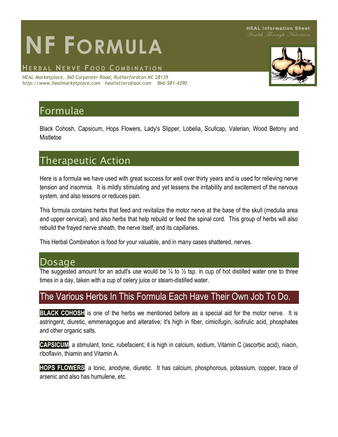# **NF FORMULA**

#### **HE R B A L NE R V E F O O D C O M B I N A T I O N**

*HEAL Marketplace, 360 Carpenter Road, Rutherfordton NC 28139 http://www.healmarketplace.com healletters@aol.com 866-581-4390*

# Formulae

Black Cohosh, Capsicum, Hops Flowers, Lady's Slipper, Lobelia, Scullcap, Valerian, Wood Betony and Mistletoe

## Therapeutic Action

Here is a formula we have used with great success for well over thirty years and is used for relieving nerve tension and insomnia. It is mildly stimulating and yet lessens the irritability and excitement of the nervous system, and also lessons or reduces pain.

This formula contains herbs that feed and revitalize the motor nerve at the base of the skull (medulla area and upper cervical), and also herbs that help rebuild or feed the spinal cord. This group of herbs will also rebuild the frayed nerve sheath, the nerve itself, and its capillaries.

This Herbal Combination is food for your valuable, and in many cases shattered, nerves.

#### Dosage

The suggested amount for an adult's use would be  $\frac{1}{4}$  to  $\frac{1}{2}$  tsp. in cup of hot distilled water one to three times in a day, taken with a cup of celery juice or steam-distilled water.

### The Various Herbs In This Formula Each Have Their Own Job To Do.

**BLACK COHOSH** is one of the herbs we mentioned before as a special aid for the motor nerve. It is astringent, diuretic, emmenagogue and alterative; it's high in fiber, cimicifugin, isofirulic acid, phosphates and other organic salts.

**CAPSICUM**, a stimulant, tonic, rubefacient; it is high in calcium, sodium, Vitamin C (ascorbic acid), niacin, riboflavin, thiamin and Vitamin A.

**HOPS FLOWERS**, a tonic, anodyne, diuretic. It has calcium, phosphorous, potassium, copper, trace of arsenic and also has humulene, etc.

**HEAL Information Sheet** Health Through Nutrition